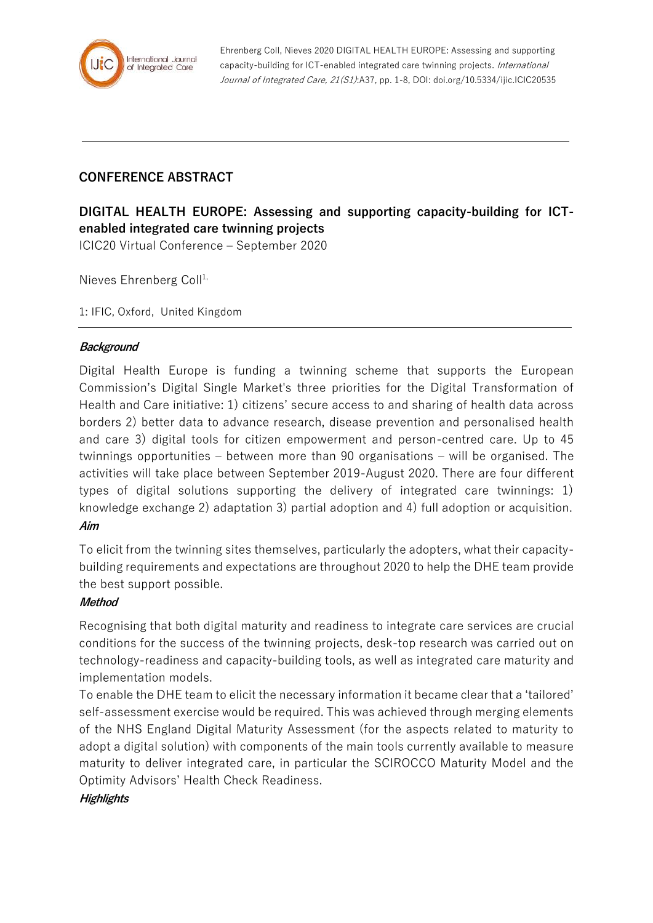

Ehrenberg Coll, Nieves 2020 DIGITAL HEALTH EUROPE: Assessing and supporting capacity-building for ICT-enabled integrated care twinning projects. International Journal of Integrated Care, 21(S1):A37, pp. 1-8, DOI: doi.org/10.5334/ijic.ICIC20535

# **CONFERENCE ABSTRACT**

# **DIGITAL HEALTH EUROPE: Assessing and supporting capacity-building for ICTenabled integrated care twinning projects**

ICIC20 Virtual Conference – September 2020

Nieves Ehrenberg Coll<sup>1,</sup>

1: IFIC, Oxford, United Kingdom

### **Background**

Digital Health Europe is funding a twinning scheme that supports the European Commission's Digital Single Market's three priorities for the Digital Transformation of Health and Care initiative: 1) citizens' secure access to and sharing of health data across borders 2) better data to advance research, disease prevention and personalised health and care 3) digital tools for citizen empowerment and person-centred care. Up to 45 twinnings opportunities – between more than 90 organisations – will be organised. The activities will take place between September 2019-August 2020. There are four different types of digital solutions supporting the delivery of integrated care twinnings: 1) knowledge exchange 2) adaptation 3) partial adoption and 4) full adoption or acquisition. **Aim**

To elicit from the twinning sites themselves, particularly the adopters, what their capacitybuilding requirements and expectations are throughout 2020 to help the DHE team provide the best support possible.

#### **Method**

Recognising that both digital maturity and readiness to integrate care services are crucial conditions for the success of the twinning projects, desk-top research was carried out on technology-readiness and capacity-building tools, as well as integrated care maturity and implementation models.

To enable the DHE team to elicit the necessary information it became clear that a 'tailored' self-assessment exercise would be required. This was achieved through merging elements of the NHS England Digital Maturity Assessment (for the aspects related to maturity to adopt a digital solution) with components of the main tools currently available to measure maturity to deliver integrated care, in particular the SCIROCCO Maturity Model and the Optimity Advisors' Health Check Readiness.

## **Highlights**